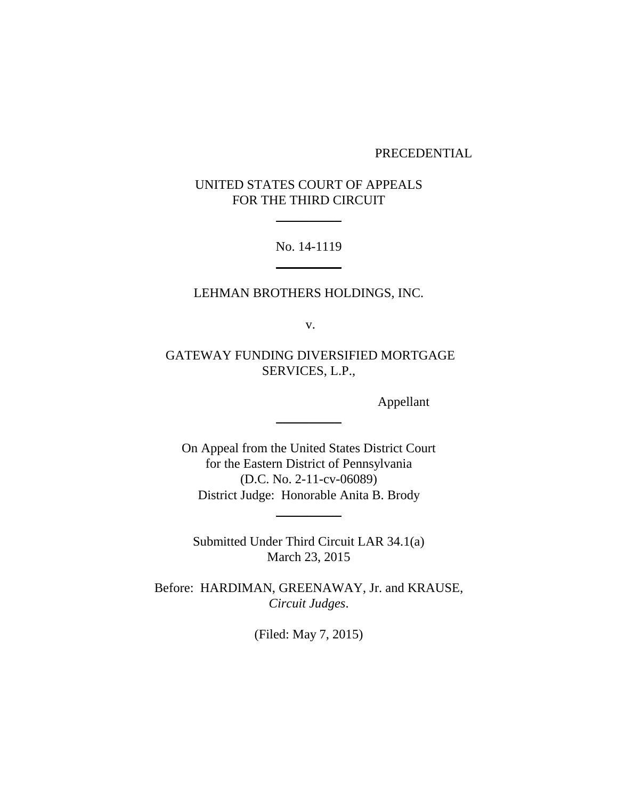### PRECEDENTIAL

# UNITED STATES COURT OF APPEALS FOR THE THIRD CIRCUIT

 $\overline{\phantom{a}}$ 

No. 14-1119  $\overline{\phantom{a}}$ 

LEHMAN BROTHERS HOLDINGS, INC.

v.

GATEWAY FUNDING DIVERSIFIED MORTGAGE SERVICES, L.P.,

Appellant

On Appeal from the United States District Court for the Eastern District of Pennsylvania (D.C. No. 2-11-cv-06089) District Judge: Honorable Anita B. Brody

 $\overline{\phantom{a}}$ 

Submitted Under Third Circuit LAR 34.1(a) March 23, 2015

 $\overline{\phantom{a}}$ 

Before: HARDIMAN, GREENAWAY, Jr. and KRAUSE, *Circuit Judges*.

(Filed: May 7, 2015)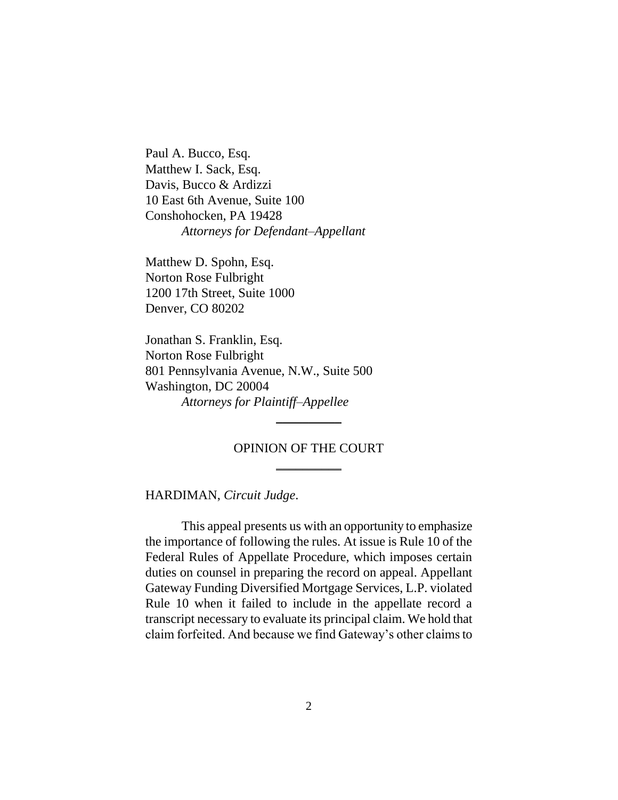Paul A. Bucco, Esq. Matthew I. Sack, Esq. Davis, Bucco & Ardizzi 10 East 6th Avenue, Suite 100 Conshohocken, PA 19428 *Attorneys for Defendant–Appellant*

Matthew D. Spohn, Esq. Norton Rose Fulbright 1200 17th Street, Suite 1000 Denver, CO 80202

Jonathan S. Franklin, Esq. Norton Rose Fulbright 801 Pennsylvania Avenue, N.W., Suite 500 Washington, DC 20004 *Attorneys for Plaintiff–Appellee*

## OPINION OF THE COURT  $\overline{\phantom{a}}$

 $\overline{\phantom{a}}$ 

HARDIMAN, *Circuit Judge*.

This appeal presents us with an opportunity to emphasize the importance of following the rules. At issue is Rule 10 of the Federal Rules of Appellate Procedure, which imposes certain duties on counsel in preparing the record on appeal. Appellant Gateway Funding Diversified Mortgage Services, L.P. violated Rule 10 when it failed to include in the appellate record a transcript necessary to evaluate its principal claim. We hold that claim forfeited. And because we find Gateway's other claims to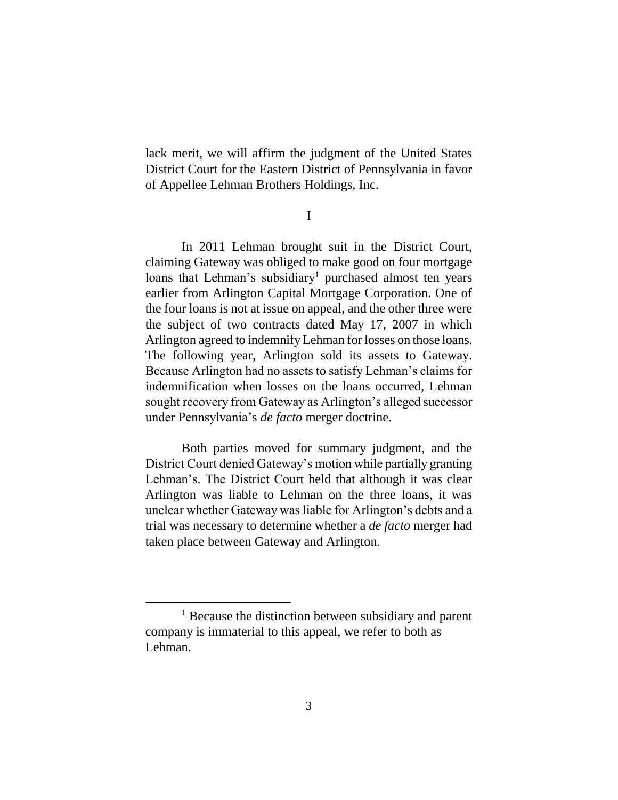lack merit, we will affirm the judgment of the United States District Court for the Eastern District of Pennsylvania in favor of Appellee Lehman Brothers Holdings, Inc.

I

In 2011 Lehman brought suit in the District Court, claiming Gateway was obliged to make good on four mortgage loans that Lehman's subsidiary<sup>1</sup> purchased almost ten years earlier from Arlington Capital Mortgage Corporation. One of the four loans is not at issue on appeal, and the other three were the subject of two contracts dated May 17, 2007 in which Arlington agreed to indemnify Lehman for losses on those loans. The following year, Arlington sold its assets to Gateway. Because Arlington had no assets to satisfy Lehman's claims for indemnification when losses on the loans occurred, Lehman sought recovery from Gateway as Arlington's alleged successor under Pennsylvania's *de facto* merger doctrine.

Both parties moved for summary judgment, and the District Court denied Gateway's motion while partially granting Lehman's. The District Court held that although it was clear Arlington was liable to Lehman on the three loans, it was unclear whether Gateway was liable for Arlington's debts and a trial was necessary to determine whether a *de facto* merger had taken place between Gateway and Arlington.

<sup>1</sup> Because the distinction between subsidiary and parent company is immaterial to this appeal, we refer to both as Lehman.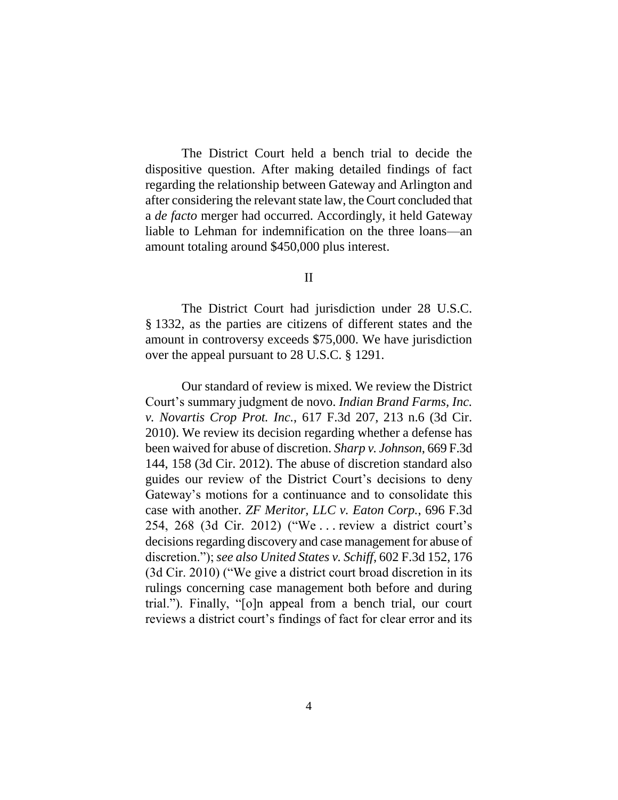The District Court held a bench trial to decide the dispositive question. After making detailed findings of fact regarding the relationship between Gateway and Arlington and after considering the relevant state law, the Court concluded that a *de facto* merger had occurred. Accordingly, it held Gateway liable to Lehman for indemnification on the three loans—an amount totaling around \$450,000 plus interest.

## II

The District Court had jurisdiction under 28 U.S.C. § 1332, as the parties are citizens of different states and the amount in controversy exceeds \$75,000. We have jurisdiction over the appeal pursuant to 28 U.S.C. § 1291.

Our standard of review is mixed. We review the District Court's summary judgment de novo. *Indian Brand Farms, Inc. v. Novartis Crop Prot. Inc.*, 617 F.3d 207, 213 n.6 (3d Cir. 2010). We review its decision regarding whether a defense has been waived for abuse of discretion. *Sharp v. Johnson*, 669 F.3d 144, 158 (3d Cir. 2012). The abuse of discretion standard also guides our review of the District Court's decisions to deny Gateway's motions for a continuance and to consolidate this case with another. *ZF Meritor, LLC v. Eaton Corp.*, 696 F.3d 254, 268 (3d Cir. 2012) ("We . . . review a district court's decisions regarding discovery and case management for abuse of discretion."); *see also United States v. Schiff*, 602 F.3d 152, 176 (3d Cir. 2010) ("We give a district court broad discretion in its rulings concerning case management both before and during trial."). Finally, "[o]n appeal from a bench trial, our court reviews a district court's findings of fact for clear error and its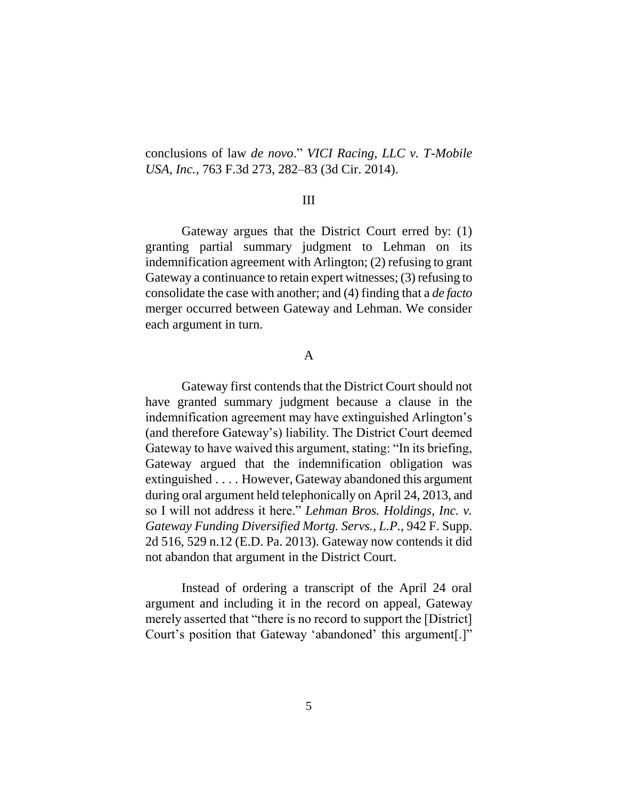conclusions of law *de novo*." *VICI Racing, LLC v. T-Mobile USA, Inc.*, 763 F.3d 273, 282–83 (3d Cir. 2014).

## III

Gateway argues that the District Court erred by: (1) granting partial summary judgment to Lehman on its indemnification agreement with Arlington; (2) refusing to grant Gateway a continuance to retain expert witnesses; (3) refusing to consolidate the case with another; and (4) finding that a *de facto* merger occurred between Gateway and Lehman. We consider each argument in turn.

### A

Gateway first contends that the District Court should not have granted summary judgment because a clause in the indemnification agreement may have extinguished Arlington's (and therefore Gateway's) liability. The District Court deemed Gateway to have waived this argument, stating: "In its briefing, Gateway argued that the indemnification obligation was extinguished . . . . However, Gateway abandoned this argument during oral argument held telephonically on April 24, 2013, and so I will not address it here." *Lehman Bros. Holdings, Inc. v. Gateway Funding Diversified Mortg. Servs., L.P.*, 942 F. Supp. 2d 516, 529 n.12 (E.D. Pa. 2013). Gateway now contends it did not abandon that argument in the District Court.

Instead of ordering a transcript of the April 24 oral argument and including it in the record on appeal, Gateway merely asserted that "there is no record to support the [District] Court's position that Gateway 'abandoned' this argument[.]"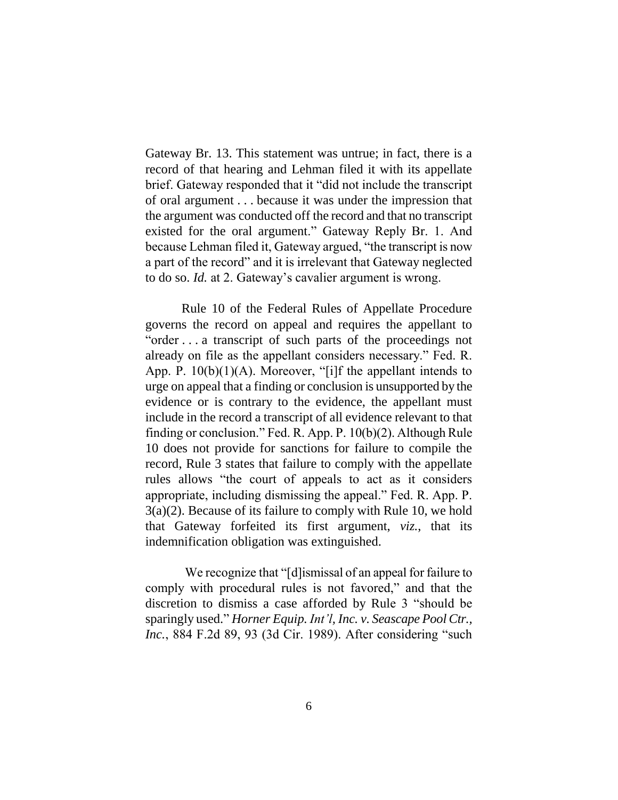Gateway Br. 13. This statement was untrue; in fact, there is a record of that hearing and Lehman filed it with its appellate brief. Gateway responded that it "did not include the transcript of oral argument . . . because it was under the impression that the argument was conducted off the record and that no transcript existed for the oral argument." Gateway Reply Br. 1. And because Lehman filed it, Gateway argued, "the transcript is now a part of the record" and it is irrelevant that Gateway neglected to do so. *Id.* at 2. Gateway's cavalier argument is wrong.

Rule 10 of the Federal Rules of Appellate Procedure governs the record on appeal and requires the appellant to "order . . . a transcript of such parts of the proceedings not already on file as the appellant considers necessary." Fed. R. App. P.  $10(b)(1)(A)$ . Moreover, "[i]f the appellant intends to urge on appeal that a finding or conclusion is unsupported by the evidence or is contrary to the evidence, the appellant must include in the record a transcript of all evidence relevant to that finding or conclusion." Fed. R. App. P. 10(b)(2). Although Rule 10 does not provide for sanctions for failure to compile the record, Rule 3 states that failure to comply with the appellate rules allows "the court of appeals to act as it considers appropriate, including dismissing the appeal." Fed. R. App. P. 3(a)(2). Because of its failure to comply with Rule 10, we hold that Gateway forfeited its first argument, *viz.*, that its indemnification obligation was extinguished.

We recognize that "[d]ismissal of an appeal for failure to comply with procedural rules is not favored," and that the discretion to dismiss a case afforded by Rule 3 "should be sparingly used." *Horner Equip. Int'l, Inc. v. Seascape Pool Ctr., Inc.*, 884 F.2d 89, 93 (3d Cir. 1989). After considering "such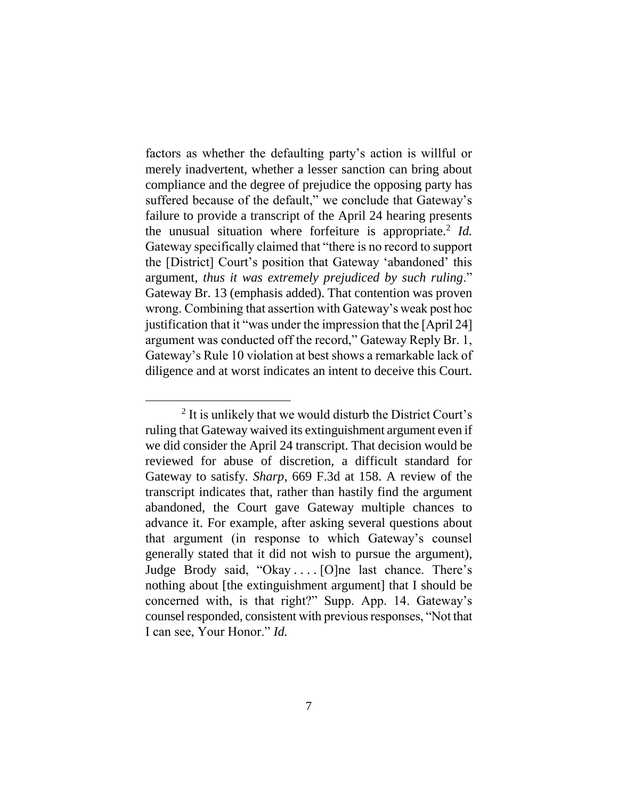factors as whether the defaulting party's action is willful or merely inadvertent, whether a lesser sanction can bring about compliance and the degree of prejudice the opposing party has suffered because of the default," we conclude that Gateway's failure to provide a transcript of the April 24 hearing presents the unusual situation where forfeiture is appropriate.<sup>2</sup> Id. Gateway specifically claimed that "there is no record to support the [District] Court's position that Gateway 'abandoned' this argument, *thus it was extremely prejudiced by such ruling*." Gateway Br. 13 (emphasis added). That contention was proven wrong. Combining that assertion with Gateway's weak post hoc justification that it "was under the impression that the [April 24] argument was conducted off the record," Gateway Reply Br. 1, Gateway's Rule 10 violation at best shows a remarkable lack of diligence and at worst indicates an intent to deceive this Court.

<sup>&</sup>lt;sup>2</sup> It is unlikely that we would disturb the District Court's ruling that Gateway waived its extinguishment argument even if we did consider the April 24 transcript. That decision would be reviewed for abuse of discretion, a difficult standard for Gateway to satisfy. *Sharp*, 669 F.3d at 158. A review of the transcript indicates that, rather than hastily find the argument abandoned, the Court gave Gateway multiple chances to advance it. For example, after asking several questions about that argument (in response to which Gateway's counsel generally stated that it did not wish to pursue the argument), Judge Brody said, "Okay . . . . [O]ne last chance. There's nothing about [the extinguishment argument] that I should be concerned with, is that right?" Supp. App. 14. Gateway's counsel responded, consistent with previous responses, "Not that I can see, Your Honor." *Id.*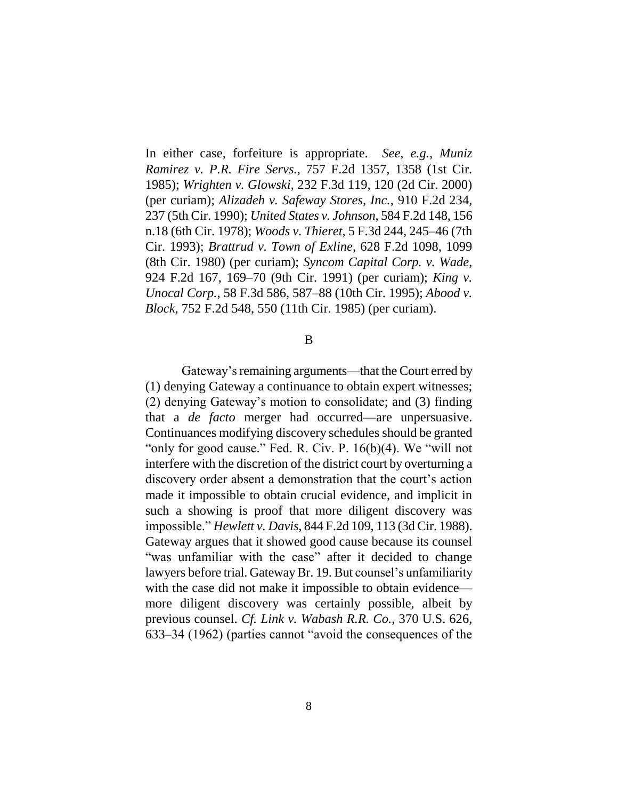In either case, forfeiture is appropriate. *See, e.g.*, *Muniz Ramirez v. P.R. Fire Servs.*, 757 F.2d 1357, 1358 (1st Cir. 1985); *Wrighten v. Glowski*, 232 F.3d 119, 120 (2d Cir. 2000) (per curiam); *Alizadeh v. Safeway Stores, Inc.*, 910 F.2d 234, 237 (5th Cir. 1990); *United States v. Johnson*, 584 F.2d 148, 156 n.18 (6th Cir. 1978); *Woods v. Thieret*, 5 F.3d 244, 245–46 (7th Cir. 1993); *Brattrud v. Town of Exline*, 628 F.2d 1098, 1099 (8th Cir. 1980) (per curiam); *Syncom Capital Corp. v. Wade*, 924 F.2d 167, 169–70 (9th Cir. 1991) (per curiam); *King v. Unocal Corp.*, 58 F.3d 586, 587–88 (10th Cir. 1995); *Abood v. Block*, 752 F.2d 548, 550 (11th Cir. 1985) (per curiam).

#### B

Gateway's remaining arguments—that the Court erred by (1) denying Gateway a continuance to obtain expert witnesses; (2) denying Gateway's motion to consolidate; and (3) finding that a *de facto* merger had occurred—are unpersuasive. Continuances modifying discovery schedules should be granted "only for good cause." Fed. R. Civ. P. 16(b)(4). We "will not interfere with the discretion of the district court by overturning a discovery order absent a demonstration that the court's action made it impossible to obtain crucial evidence, and implicit in such a showing is proof that more diligent discovery was impossible." *Hewlett v. Davis*, 844 F.2d 109, 113 (3d Cir. 1988). Gateway argues that it showed good cause because its counsel "was unfamiliar with the case" after it decided to change lawyers before trial. Gateway Br. 19. But counsel's unfamiliarity with the case did not make it impossible to obtain evidence more diligent discovery was certainly possible, albeit by previous counsel. *Cf. Link v. Wabash R.R. Co.*, 370 U.S. 626, 633–34 (1962) (parties cannot "avoid the consequences of the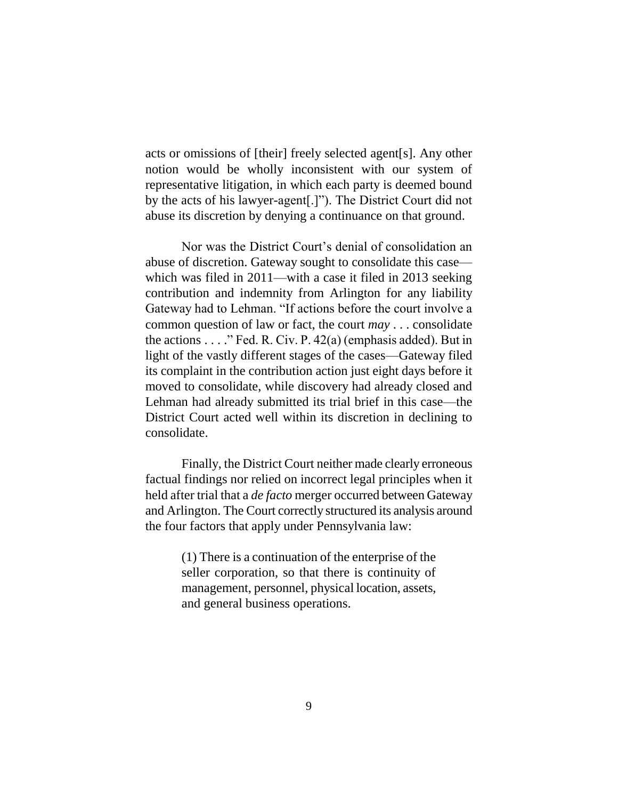acts or omissions of [their] freely selected agent[s]. Any other notion would be wholly inconsistent with our system of representative litigation, in which each party is deemed bound by the acts of his lawyer-agent[.]"). The District Court did not abuse its discretion by denying a continuance on that ground.

Nor was the District Court's denial of consolidation an abuse of discretion. Gateway sought to consolidate this case which was filed in 2011—with a case it filed in 2013 seeking contribution and indemnity from Arlington for any liability Gateway had to Lehman. "If actions before the court involve a common question of law or fact, the court *may* . . . consolidate the actions  $\dots$  " Fed. R. Civ. P. 42(a) (emphasis added). But in light of the vastly different stages of the cases—Gateway filed its complaint in the contribution action just eight days before it moved to consolidate, while discovery had already closed and Lehman had already submitted its trial brief in this case—the District Court acted well within its discretion in declining to consolidate.

Finally, the District Court neither made clearly erroneous factual findings nor relied on incorrect legal principles when it held after trial that a *de facto* merger occurred between Gateway and Arlington. The Court correctly structured its analysis around the four factors that apply under Pennsylvania law:

> (1) There is a continuation of the enterprise of the seller corporation, so that there is continuity of management, personnel, physical location, assets, and general business operations.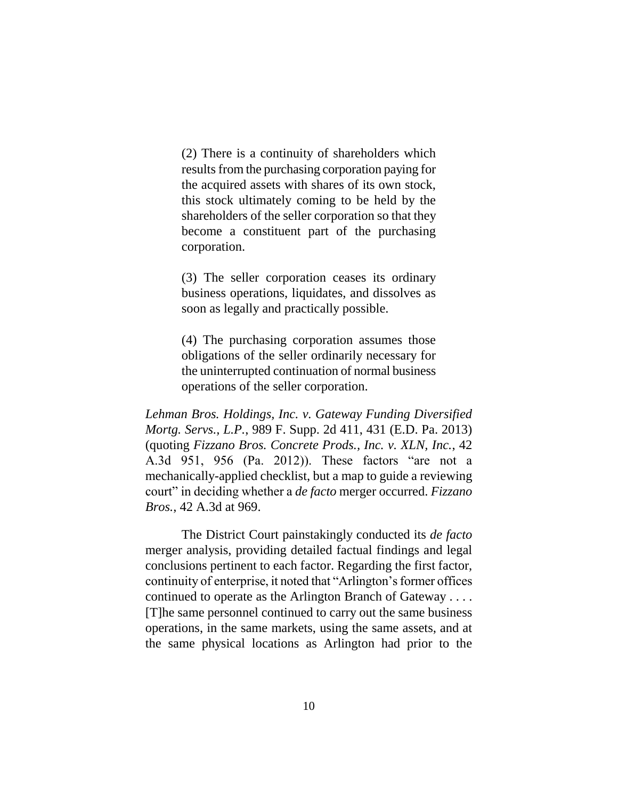(2) There is a continuity of shareholders which results from the purchasing corporation paying for the acquired assets with shares of its own stock, this stock ultimately coming to be held by the shareholders of the seller corporation so that they become a constituent part of the purchasing corporation.

(3) The seller corporation ceases its ordinary business operations, liquidates, and dissolves as soon as legally and practically possible.

(4) The purchasing corporation assumes those obligations of the seller ordinarily necessary for the uninterrupted continuation of normal business operations of the seller corporation.

*Lehman Bros. Holdings, Inc. v. Gateway Funding Diversified Mortg. Servs., L.P.*, 989 F. Supp. 2d 411, 431 (E.D. Pa. 2013) (quoting *Fizzano Bros. Concrete Prods., Inc. v. XLN, Inc.*, 42 A.3d 951, 956 (Pa. 2012)). These factors "are not a mechanically-applied checklist, but a map to guide a reviewing court" in deciding whether a *de facto* merger occurred. *Fizzano Bros.*, 42 A.3d at 969.

The District Court painstakingly conducted its *de facto* merger analysis, providing detailed factual findings and legal conclusions pertinent to each factor. Regarding the first factor, continuity of enterprise, it noted that "Arlington's former offices continued to operate as the Arlington Branch of Gateway . . . . [T]he same personnel continued to carry out the same business operations, in the same markets, using the same assets, and at the same physical locations as Arlington had prior to the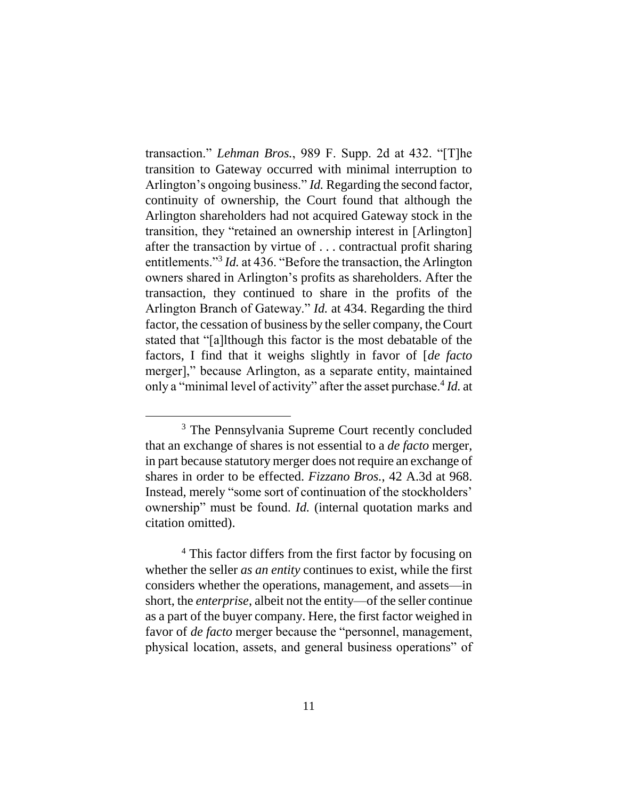transaction." *Lehman Bros.*, 989 F. Supp. 2d at 432. "[T]he transition to Gateway occurred with minimal interruption to Arlington's ongoing business." *Id.* Regarding the second factor, continuity of ownership, the Court found that although the Arlington shareholders had not acquired Gateway stock in the transition, they "retained an ownership interest in [Arlington] after the transaction by virtue of . . . contractual profit sharing entitlements."<sup>3</sup> *Id.* at 436. "Before the transaction, the Arlington owners shared in Arlington's profits as shareholders. After the transaction, they continued to share in the profits of the Arlington Branch of Gateway." *Id.* at 434. Regarding the third factor, the cessation of business by the seller company, the Court stated that "[a]lthough this factor is the most debatable of the factors, I find that it weighs slightly in favor of [*de facto* merger]," because Arlington, as a separate entity, maintained only a "minimal level of activity" after the asset purchase.<sup>4</sup> Id. at

<sup>&</sup>lt;sup>3</sup> The Pennsylvania Supreme Court recently concluded that an exchange of shares is not essential to a *de facto* merger, in part because statutory merger does not require an exchange of shares in order to be effected. *Fizzano Bros.*, 42 A.3d at 968. Instead, merely "some sort of continuation of the stockholders' ownership" must be found. *Id.* (internal quotation marks and citation omitted).

<sup>&</sup>lt;sup>4</sup> This factor differs from the first factor by focusing on whether the seller *as an entity* continues to exist, while the first considers whether the operations, management, and assets—in short, the *enterprise*, albeit not the entity—of the seller continue as a part of the buyer company. Here, the first factor weighed in favor of *de facto* merger because the "personnel, management, physical location, assets, and general business operations" of